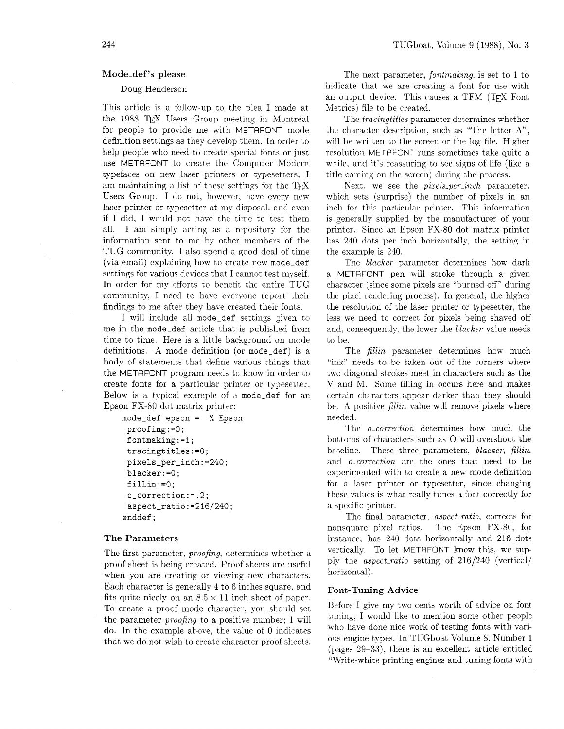## Mode-def's please

# Doug Henderson

This article is a follow-up to the plea I made at the 1988 TFX Users Group meeting in Montréal for people to provide me with METAFONT mode definition settings as they develop them. In order to help people who need to create special fonts or just use METAFONT to create the Computer Modern typefaces on new laser printers or typesetters. I am maintaining a list of these settings for the TEX Users Group. I do not, however. have every new laser printer or typesetter at my disposal. and even if I did, I would not have the time to test them all. I am simply acting as a repository for the information sent to me by other members of the TUG community. I also spend a good deal of time (via email) explaining how to create new **mode-def**  settings for various devices that I cannot test myself. In order for my efforts to benefit the entire TUG community, I need to have everyone report their findings to me after they have created their fonts.

I will include all **mode-def** settings given to me in the **mode-def** article that is published from time to time. Here is a little background on mode definitions. A mode definition (or **mode-def)** is a body of statements that define various things that the METAFONT program needs to know in order to create fonts for a particular printer or typesetter. Below is a typical example of a **mode-def** for an Epson FX-80 dot matrix printer:

```
mode-def epson = % Epson 
proofing : =0 ; 
fontmaking:=l; 
 tracingtitles:=O; 
pixels_per_inch:=240; 
blacker: =O; 
 fillin:=O; 
 o_correctlon:=.2; 
 aspect_ratlo:=216/240; 
enddef ;
```
## The Parameters

The first parameter, *proofing*, determines whether a proof sheet is being created. Proof sheets are useful when you are creating or viewing new characters. Each character is generally 4 to 6 inches square, and Font-Tuning Advice fits quite nicely on an  $8.5 \times 11$  inch sheet of paper. To create a proof mode character, you should set Before I give my two cents worth of advice on font the parameter *proofing* to a positive number; 1 will tuning. I would like to mention some other people<br>do In the evenue obove, the value of 0 indicates who have done nice work of testing fonts with varido. In the example above, the value of 0 indicates who have done nice work of testing fonts with vari-<br>that we do not wish to create character proof shoots ous engine types. In TUGboat Volume 8, Number 1 that we do not wish to create character proof sheets.

The next parameter, *fontmaking*, is set to 1 to indicate that we are creating a font for use with an output device. This causes a TFM (TFX Font Metrics) file to be created.

The tracingtitles parameter determines whether the character description, such as "The letter A", will be written to the screen or the log file. Higher resolution METAFONT runs sometimes take quite a while, and it's reassuring to see signs of life (like a title coming on the screen) during the process.

Next, we see the *pixels\_per\_inch* parameter, which sets (surprise) the number of pixels in an inch for this particular printer. This information is generally supplied by the manufacturer of your printer. Since an Epson FX-80 dot matrix printer has 240 dots per inch horizontally, the setting in the example is 240.

The blacker parameter determines how dark a METAFONT pen will stroke through a given character (since some pixels are "burned off" during the pixel rendering process). In general, the higher the resolution of the laser printer or typesetter, the less we need to correct for pixels being shaved off and, consequently, the lower the blacker value needs to be.

The *fillin* parameter determines how much "ink" needs to be taken out of the corners where two diagonal strokes meet in characters such as the V and M. Some filling in occurs here and makes certain characters appear darker than they should be. A positive *fillin* value will remove pixels where needed.

The *o<sub>ctorrection* determines how much the</sub> bottoms of characters such as 0 will overshoot the baseline. These three parameters, blacker, fillin, and o-correction are the ones that need to be experimented with to create a new mode definition for a laser printer or typesetter, since changing these values is what really tunes a font correctly for a specific printer.

The final parameter, *aspect\_ratio*, corrects for nonsquare pixel ratios. The Epson FX-80, for instance, has 240 dots horizontally and 216 dots vertically. To let METRFONT know this, we sup ply the aspect-ratio setting of 216/240 (vertical/ horizontal).

(pages 29-33). there is an excellent article entitled "Write-white printing engines and tuning fonts with